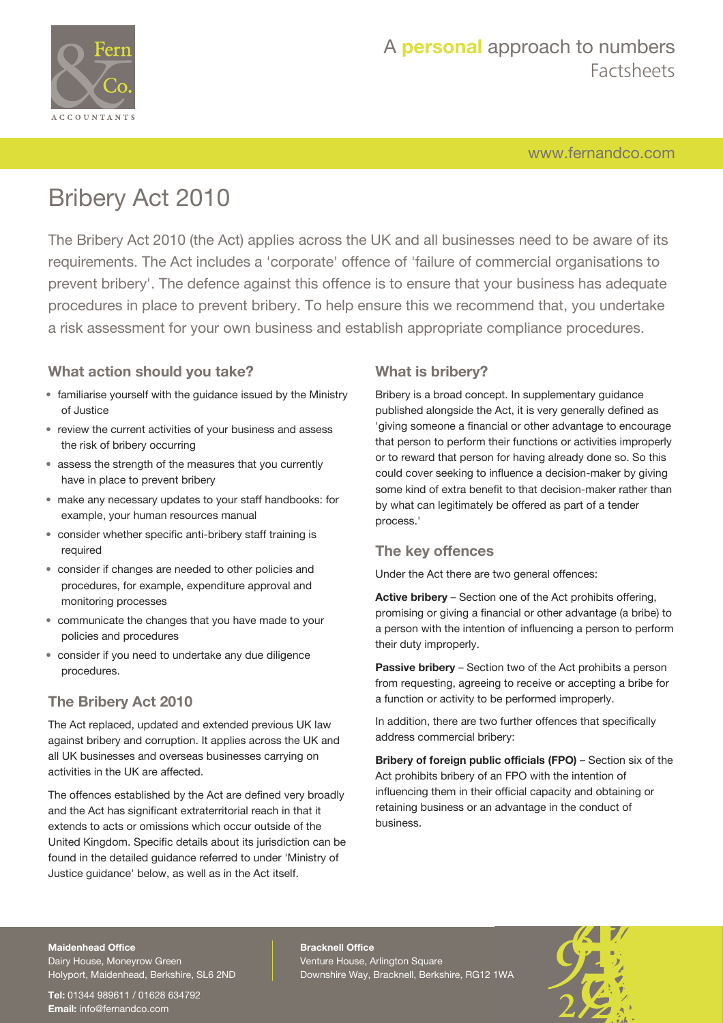

[www.fernandco.com](http://www.fernandco.com)

# Bribery Act 2010

The Bribery Act 2010 (the Act) applies across the UK and all businesses need to be aware of its requirements. The Act includes a 'corporate' offence of 'failure of commercial organisations to prevent bribery'. The defence against this offence is to ensure that your business has adequate procedures in place to prevent bribery. To help ensure this we recommend that, you undertake a risk assessment for your own business and establish appropriate compliance procedures.

### **What action should you take?**

- familiarise yourself with the guidance issued by the Ministry of Justice
- review the current activities of your business and assess the risk of bribery occurring
- assess the strength of the measures that you currently have in place to prevent bribery
- make any necessary updates to your staff handbooks: for example, your human resources manual
- consider whether specific anti-bribery staff training is required
- consider if changes are needed to other policies and procedures, for example, expenditure approval and monitoring processes
- communicate the changes that you have made to your policies and procedures
- consider if you need to undertake any due diligence procedures.

### **The Bribery Act 2010**

The Act replaced, updated and extended previous UK law against bribery and corruption. It applies across the UK and all UK businesses and overseas businesses carrying on activities in the UK are affected.

The offences established by the Act are defined very broadly and the Act has significant extraterritorial reach in that it extends to acts or omissions which occur outside of the United Kingdom. Specific details about its jurisdiction can be found in the detailed guidance referred to under 'Ministry of Justice guidance' below, as well as in the Act itself.

### **What is bribery?**

Bribery is a broad concept. In supplementary guidance published alongside the Act, it is very generally defined as 'giving someone a financial or other advantage to encourage that person to perform their functions or activities improperly or to reward that person for having already done so. So this could cover seeking to influence a decision-maker by giving some kind of extra benefit to that decision-maker rather than by what can legitimately be offered as part of a tender process.'

#### **The key offences**

Under the Act there are two general offences:

**Active bribery** – Section one of the Act prohibits offering, promising or giving a financial or other advantage (a bribe) to a person with the intention of influencing a person to perform their duty improperly.

**Passive bribery** – Section two of the Act prohibits a person from requesting, agreeing to receive or accepting a bribe for a function or activity to be performed improperly.

In addition, there are two further offences that specifically address commercial bribery:

**Bribery of foreign public officials (FPO)** – Section six of the Act prohibits bribery of an FPO with the intention of influencing them in their official capacity and obtaining or retaining business or an advantage in the conduct of business.

#### **Maidenhead Office**

Dairy House, Moneyrow Green Holyport, Maidenhead, Berkshire, SL6 2ND

**Tel:** 01344 989611 / 01628 634792 **Email:** [info@fernandco.com](mailto:info@fernandco.com)

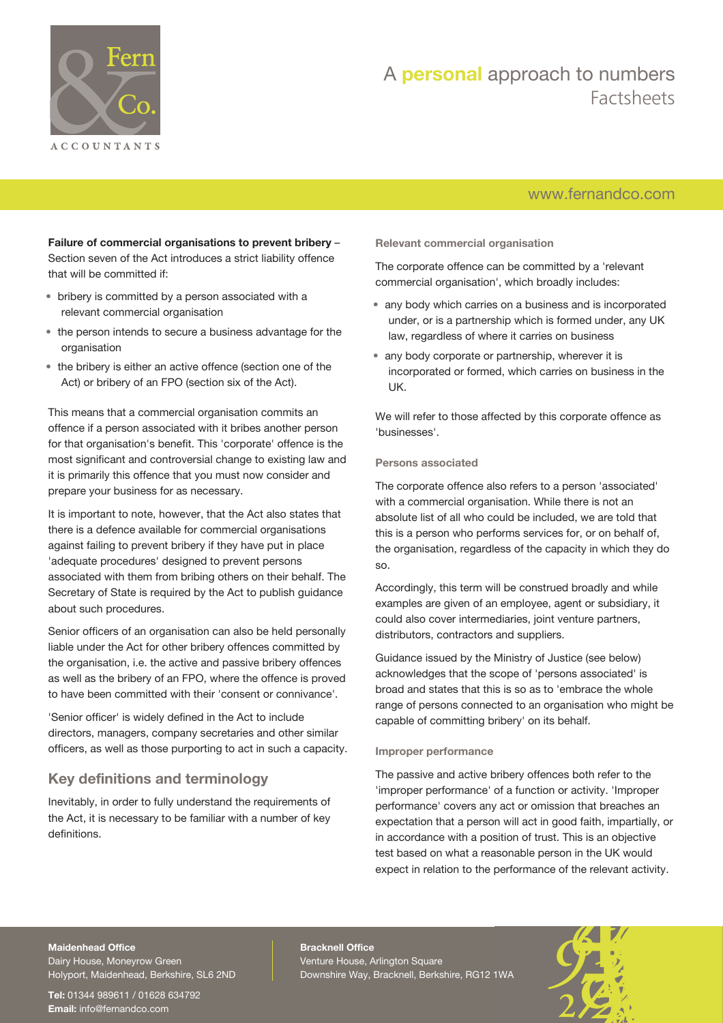

### [www.fernandco.com](http://www.fernandco.com)

**Failure of commercial organisations to prevent bribery** – Section seven of the Act introduces a strict liability offence that will be committed if:

- bribery is committed by a person associated with a relevant commercial organisation
- the person intends to secure a business advantage for the organisation
- the bribery is either an active offence (section one of the Act) or bribery of an FPO (section six of the Act).

This means that a commercial organisation commits an offence if a person associated with it bribes another person for that organisation's benefit. This 'corporate' offence is the most significant and controversial change to existing law and it is primarily this offence that you must now consider and prepare your business for as necessary.

It is important to note, however, that the Act also states that there is a defence available for commercial organisations against failing to prevent bribery if they have put in place 'adequate procedures' designed to prevent persons associated with them from bribing others on their behalf. The Secretary of State is required by the Act to publish guidance about such procedures.

Senior officers of an organisation can also be held personally liable under the Act for other bribery offences committed by the organisation, i.e. the active and passive bribery offences as well as the bribery of an FPO, where the offence is proved to have been committed with their 'consent or connivance'.

'Senior officer' is widely defined in the Act to include directors, managers, company secretaries and other similar officers, as well as those purporting to act in such a capacity.

### **Key definitions and terminology**

Inevitably, in order to fully understand the requirements of the Act, it is necessary to be familiar with a number of key definitions.

**Relevant commercial organisation**

The corporate offence can be committed by a 'relevant commercial organisation', which broadly includes:

- any body which carries on a business and is incorporated under, or is a partnership which is formed under, any UK law, regardless of where it carries on business
- any body corporate or partnership, wherever it is incorporated or formed, which carries on business in the UK.

We will refer to those affected by this corporate offence as 'businesses'.

#### **Persons associated**

The corporate offence also refers to a person 'associated' with a commercial organisation. While there is not an absolute list of all who could be included, we are told that this is a person who performs services for, or on behalf of, the organisation, regardless of the capacity in which they do so.

Accordingly, this term will be construed broadly and while examples are given of an employee, agent or subsidiary, it could also cover intermediaries, joint venture partners, distributors, contractors and suppliers.

Guidance issued by the Ministry of Justice (see below) acknowledges that the scope of 'persons associated' is broad and states that this is so as to 'embrace the whole range of persons connected to an organisation who might be capable of committing bribery' on its behalf.

#### **Improper performance**

The passive and active bribery offences both refer to the 'improper performance' of a function or activity. 'Improper performance' covers any act or omission that breaches an expectation that a person will act in good faith, impartially, or in accordance with a position of trust. This is an objective test based on what a reasonable person in the UK would expect in relation to the performance of the relevant activity.

#### **Maidenhead Office**

Dairy House, Moneyrow Green Holyport, Maidenhead, Berkshire, SL6 2ND

**Tel:** 01344 989611 / 01628 634792 **Email:** [info@fernandco.com](mailto:info@fernandco.com)

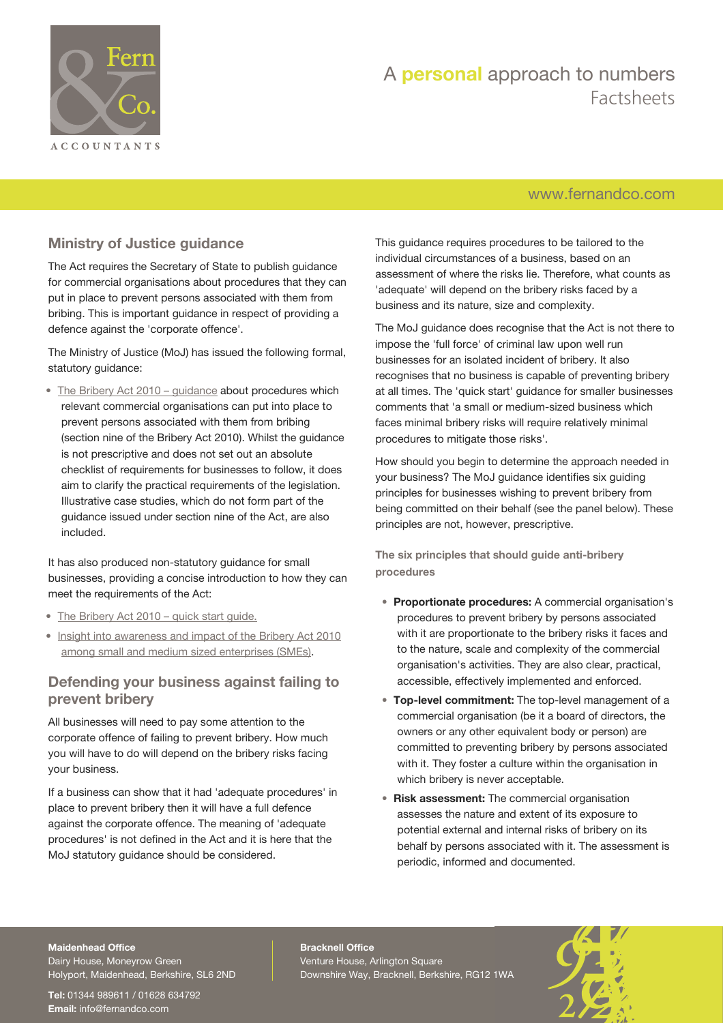

### [www.fernandco.com](http://www.fernandco.com)

### **Ministry of Justice guidance**

The Act requires the Secretary of State to publish guidance for commercial organisations about procedures that they can put in place to prevent persons associated with them from bribing. This is important guidance in respect of providing a defence against the 'corporate offence'.

The Ministry of Justice (MoJ) has issued the following formal, statutory guidance:

• [The Bribery Act 2010 – guidance](https://www.gov.uk/government/uploads/system/uploads/attachment_data/file/181762/bribery-act-2010-guidance.pdf) about procedures which relevant commercial organisations can put into place to prevent persons associated with them from bribing (section nine of the Bribery Act 2010). Whilst the guidance is not prescriptive and does not set out an absolute checklist of requirements for businesses to follow, it does aim to clarify the practical requirements of the legislation. Illustrative case studies, which do not form part of the guidance issued under section nine of the Act, are also included.

It has also produced non-statutory guidance for small businesses, providing a concise introduction to how they can meet the requirements of the Act:

- [The Bribery Act 2010 quick start guide.](https://www.gov.uk/government/uploads/system/uploads/attachment_data/file/181764/bribery-act-2010-quick-start-guide.pdf)
- [Insight into awareness and impact of the Bribery Act 2010](https://www.gov.uk/government/uploads/system/uploads/attachment_data/file/440661/insight-into-awareness-and-impact-of-the-bribery-act-2010.pdf) [among small and medium sized enterprises \(SMEs\)](https://www.gov.uk/government/uploads/system/uploads/attachment_data/file/440661/insight-into-awareness-and-impact-of-the-bribery-act-2010.pdf).

### **Defending your business against failing to prevent bribery**

All businesses will need to pay some attention to the corporate offence of failing to prevent bribery. How much you will have to do will depend on the bribery risks facing your business.

If a business can show that it had 'adequate procedures' in place to prevent bribery then it will have a full defence against the corporate offence. The meaning of 'adequate procedures' is not defined in the Act and it is here that the MoJ statutory guidance should be considered.

This guidance requires procedures to be tailored to the individual circumstances of a business, based on an assessment of where the risks lie. Therefore, what counts as 'adequate' will depend on the bribery risks faced by a business and its nature, size and complexity.

The MoJ guidance does recognise that the Act is not there to impose the 'full force' of criminal law upon well run businesses for an isolated incident of bribery. It also recognises that no business is capable of preventing bribery at all times. The 'quick start' guidance for smaller businesses comments that 'a small or medium-sized business which faces minimal bribery risks will require relatively minimal procedures to mitigate those risks'.

How should you begin to determine the approach needed in your business? The MoJ guidance identifies six guiding principles for businesses wishing to prevent bribery from being committed on their behalf (see the panel below). These principles are not, however, prescriptive.

**The six principles that should guide anti-bribery procedures**

- **Proportionate procedures:** A commercial organisation's procedures to prevent bribery by persons associated with it are proportionate to the bribery risks it faces and to the nature, scale and complexity of the commercial organisation's activities. They are also clear, practical, accessible, effectively implemented and enforced.
- **Top-level commitment:** The top-level management of a commercial organisation (be it a board of directors, the owners or any other equivalent body or person) are committed to preventing bribery by persons associated with it. They foster a culture within the organisation in which bribery is never acceptable.
- **Risk assessment:** The commercial organisation assesses the nature and extent of its exposure to potential external and internal risks of bribery on its behalf by persons associated with it. The assessment is periodic, informed and documented.

#### **Maidenhead Office**

Dairy House, Moneyrow Green Holyport, Maidenhead, Berkshire, SL6 2ND

**Tel:** 01344 989611 / 01628 634792 **Email:** [info@fernandco.com](mailto:info@fernandco.com)